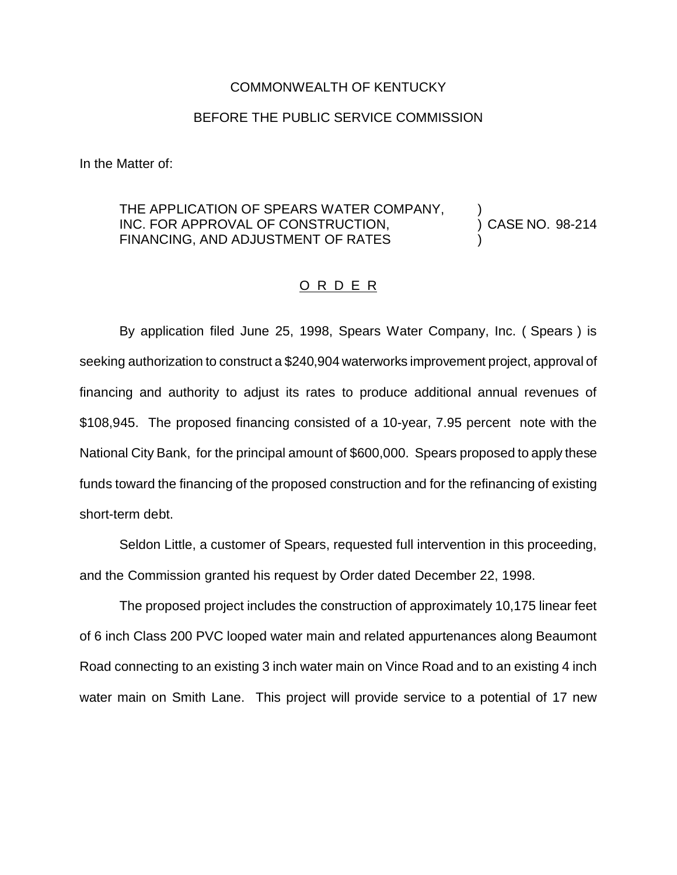#### COMMONWEALTH OF KENTUCKY

### BEFORE THE PUBLIC SERVICE COMMISSION

In the Matter of:

### THE APPLICATION OF SPEARS WATER COMPANY,  $\qquad$ ) CASE NO. 98-214 INC. FOR APPROVAL OF CONSTRUCTION, FINANCING, AND ADJUSTMENT OF RATES

# O R D E R

By application filed June 25, 1998, Spears Water Company, Inc. ( Spears ) is seeking authorization to construct a \$240,904 waterworks improvement project, approval of financing and authority to adjust its rates to produce additional annual revenues of \$108,945. The proposed financing consisted of a 10-year, 7.95 percent note with the National City Bank, for the principal amount of \$600,000. Spears proposed to apply these funds toward the financing of the proposed construction and for the refinancing of existing short-term debt.

Seldon Little, a customer of Spears, requested full intervention in this proceeding, and the Commission granted his request by Order dated December 22, 1998.

The proposed project includes the construction of approximately 10,175 linear feet of 6 inch Class 200 PVC looped water main and related appurtenances along Beaumont Road connecting to an existing 3 inch water main on Vince Road and to an existing 4 inch water main on Smith Lane. This project will provide service to a potential of 17 new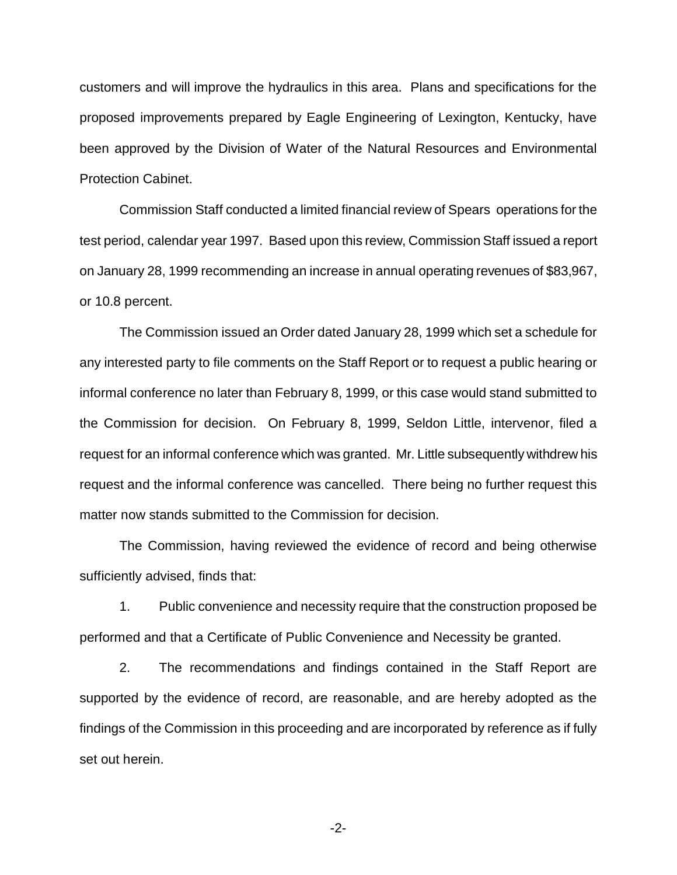customers and will improve the hydraulics in this area. Plans and specifications for the proposed improvements prepared by Eagle Engineering of Lexington, Kentucky, have been approved by the Division of Water of the Natural Resources and Environmental Protection Cabinet.

Commission Staff conducted a limited financial review of Spears operations for the test period, calendar year 1997. Based upon this review, Commission Staff issued a report on January 28, 1999 recommending an increase in annual operating revenues of \$83,967, or 10.8 percent.

The Commission issued an Order dated January 28, 1999 which set a schedule for any interested party to file comments on the Staff Report or to request a public hearing or informal conference no later than February 8, 1999, or this case would stand submitted to the Commission for decision. On February 8, 1999, Seldon Little, intervenor, filed a request for an informal conference which was granted. Mr. Little subsequently withdrew his request and the informal conference was cancelled. There being no further request this matter now stands submitted to the Commission for decision.

The Commission, having reviewed the evidence of record and being otherwise sufficiently advised, finds that:

1. Public convenience and necessity require that the construction proposed be performed and that a Certificate of Public Convenience and Necessity be granted.

2. The recommendations and findings contained in the Staff Report are supported by the evidence of record, are reasonable, and are hereby adopted as the findings of the Commission in this proceeding and are incorporated by reference as if fully set out herein.

-2-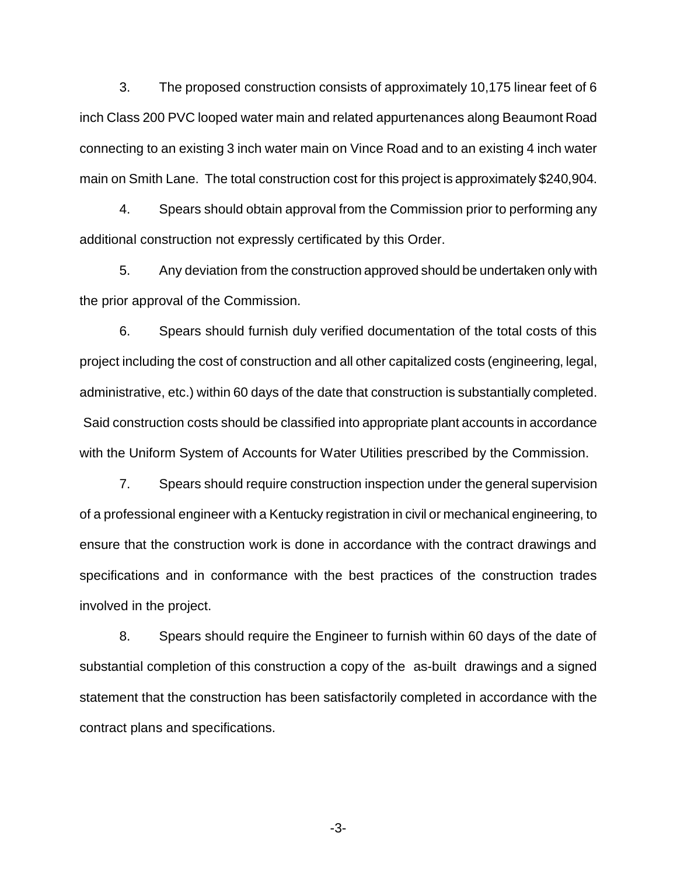3. The proposed construction consists of approximately 10,175 linear feet of 6 inch Class 200 PVC looped water main and related appurtenances along Beaumont Road connecting to an existing 3 inch water main on Vince Road and to an existing 4 inch water main on Smith Lane. The total construction cost for this project is approximately \$240,904.

4. Spears should obtain approval from the Commission prior to performing any additional construction not expressly certificated by this Order.

5. Any deviation from the construction approved should be undertaken only with the prior approval of the Commission.

6. Spears should furnish duly verified documentation of the total costs of this project including the cost of construction and all other capitalized costs (engineering, legal, administrative, etc.) within 60 days of the date that construction is substantially completed. Said construction costs should be classified into appropriate plant accounts in accordance with the Uniform System of Accounts for Water Utilities prescribed by the Commission.

7. Spears should require construction inspection under the general supervision of a professional engineer with a Kentucky registration in civil or mechanical engineering, to ensure that the construction work is done in accordance with the contract drawings and specifications and in conformance with the best practices of the construction trades involved in the project.

8. Spears should require the Engineer to furnish within 60 days of the date of substantial completion of this construction a copy of the as-built drawings and a signed statement that the construction has been satisfactorily completed in accordance with the contract plans and specifications.

-3-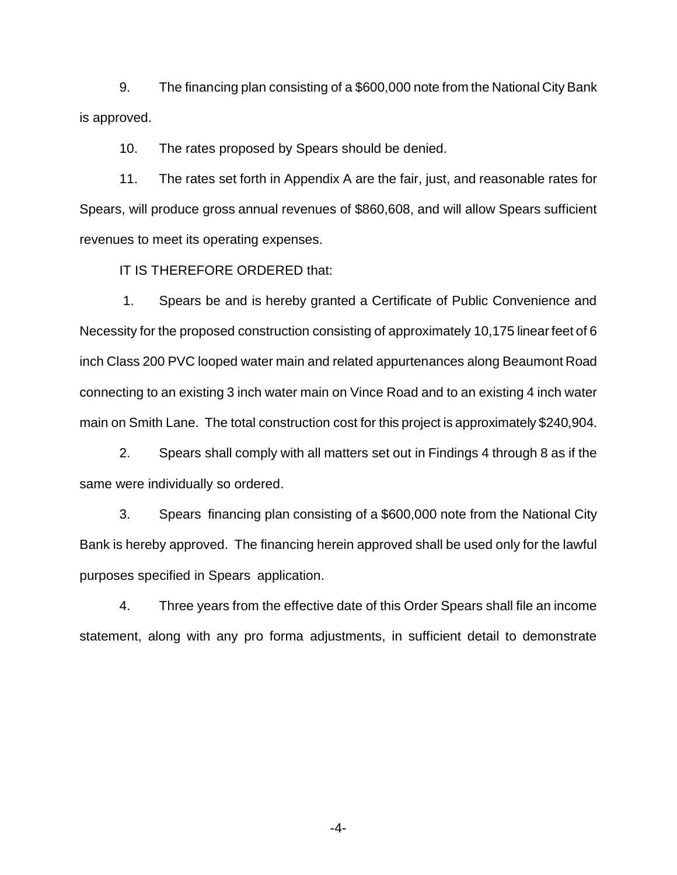9. The financing plan consisting of a \$600,000 note from the National City Bank is approved.

10. The rates proposed by Spears should be denied.

11. The rates set forth in Appendix A are the fair, just, and reasonable rates for Spears, will produce gross annual revenues of \$860,608, and will allow Spears sufficient revenues to meet its operating expenses.

IT IS THEREFORE ORDERED that:

1. Spears be and is hereby granted a Certificate of Public Convenience and Necessity for the proposed construction consisting of approximately 10,175 linear feet of 6 inch Class 200 PVC looped water main and related appurtenances along Beaumont Road connecting to an existing 3 inch water main on Vince Road and to an existing 4 inch water main on Smith Lane. The total construction cost for this project is approximately \$240,904.

2. Spears shall comply with all matters set out in Findings 4 through 8 as if the same were individually so ordered.

3. Spears financing plan consisting of a \$600,000 note from the National City Bank is hereby approved. The financing herein approved shall be used only for the lawful purposes specified in Spears application.

4. Three years from the effective date of this Order Spears shall file an income statement, along with any pro forma adjustments, in sufficient detail to demonstrate

-4-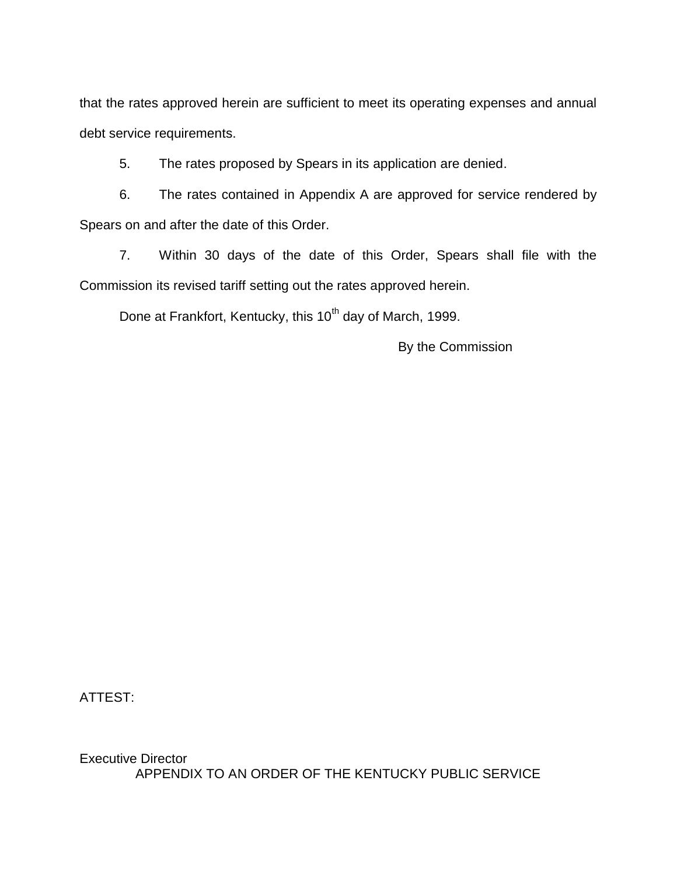that the rates approved herein are sufficient to meet its operating expenses and annual debt service requirements.

5. The rates proposed by Spears in its application are denied.

6. The rates contained in Appendix A are approved for service rendered by Spears on and after the date of this Order.

7. Within 30 days of the date of this Order, Spears shall file with the Commission its revised tariff setting out the rates approved herein.

Done at Frankfort, Kentucky, this 10<sup>th</sup> day of March, 1999.

By the Commission

ATTEST:

Executive Director APPENDIX TO AN ORDER OF THE KENTUCKY PUBLIC SERVICE